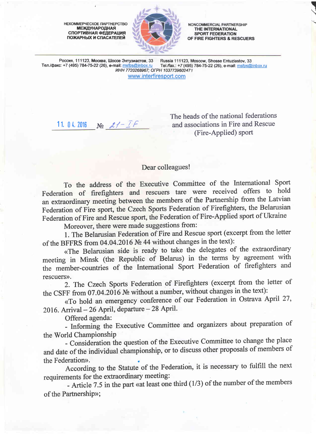HEKOMMEPYECKOE NAPTHEPCTBO **МЕЖДУНАРОДНАЯ** СПОРТИВНАЯ ФЕДЕРАЦИЯ ПОЖАРНЫХ И СПАСАТЕЛЕЙ



NONCOMMERCIAL PARTNERSHIP THE INTERNATIONAL SPORT FEDERATION OF FIRE FIGHTERS & RESCUERS **ISSUED** 

Россия, 111123, Москва, Шоссе Энтузиастов, 33 Russia 111123, Moscow, Shosse Entuziastov, 33<br>c: +7 (495) 784-75-22 (26), e-mail: msfps@inbox.ru Tel./fax.: +7 (495) 784-75-22 (26), e-mail: msfps@inbox.ru Тел./факс: +7 (495) 784-75-22 (26), e-mail: msfps@inbox.ru UHH 7720268967; OFPH 103773960247 www.interfiresport.com

11. 04. 2016  $N_2$   $21 - 77$ 

The heads of the national federations and associations in Fire and Rescue (Fire-Applied) sport

## Dear colleagues!

To the address of the Executive Committee of the Intemational Sport Federation of firefighters and rescuers tare were received offers to hold an extraordinary meeiing between the members of the Partnership from the Latvian Federation of Fire sport, the Czech Sports Federation of Firefighters, the Belarusian Federation of Fire and Rescue sport, the Federation of Fire-Applied sport of Ukraine

Moreover, there were made suggestions from:

1. The Beiarusian Federation of Fire and Rescue sport (excerpt from the letter of the BFFRS from 04.04.2016  $N_2$  44 without changes in the text):

<The Belarusian side is ready to take the delegates of the extraordinary meeting in Minsk (the Republic of Belarus) in the terms by agreement with the member-countries of the International Sport Federation of firefighters and rescuers».

2. The Czech Sports Federation of Firefighters (excerpt from the letter of the CSFF from 07.04.2016  $\mathcal{N}_2$  without a number, without changes in the text):

<To hold an emergency conference of our Federation in Ostrava Aptil 27,  $2016.$  Arrival -  $26$  April, departure -  $28$  April.

Offered agenda:

- Informiig the Executive Committee and organizers about preparation of the World Championship

- Consideration the question of the Executive Committee to change the place and date of the individual championship, or to discuss other proposals of members of the Federation».

According to the Statute of the Federation, it is necessary to fulfill the next requirements for the extraordinary meeting:

- Article 7.5 in the part «at least one third  $(1/3)$  of the number of the members of the Partnership»;